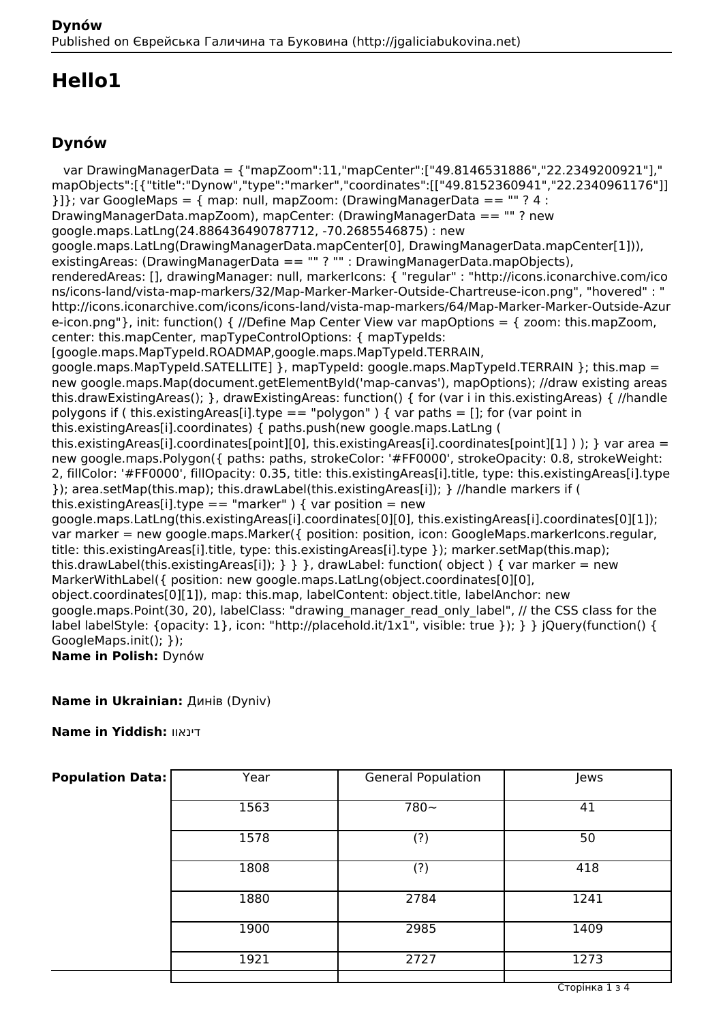# **Hello1**

### **Dynów**

 var DrawingManagerData = {"mapZoom":11,"mapCenter":["49.8146531886","22.2349200921"]," mapObjects":[{"title":"Dynow","type":"marker","coordinates":[["49.8152360941","22.2340961176"]]  ${}11$ : var GoogleMaps = { map: null, mapZoom: (DrawingManagerData == "" ? 4 : DrawingManagerData.mapZoom), mapCenter: (DrawingManagerData == "" ? new google.maps.LatLng(24.886436490787712, -70.2685546875) : new google.maps.LatLng(DrawingManagerData.mapCenter[0], DrawingManagerData.mapCenter[1])), existingAreas: (DrawingManagerData == "" ? "" : DrawingManagerData.mapObjects), renderedAreas: [], drawingManager: null, markerIcons: { "regular" : "http://icons.iconarchive.com/ico ns/icons-land/vista-map-markers/32/Map-Marker-Marker-Outside-Chartreuse-icon.png", "hovered" : " http://icons.iconarchive.com/icons/icons-land/vista-map-markers/64/Map-Marker-Marker-Outside-Azur e-icon.png"}, init: function() { //Define Map Center View var mapOptions = { zoom: this.mapZoom, center: this.mapCenter, mapTypeControlOptions: { mapTypeIds: [google.maps.MapTypeId.ROADMAP,google.maps.MapTypeId.TERRAIN, google.maps.MapTypeId.SATELLITE1 }, mapTypeId: google.maps.MapTypeId.TERRAIN }: this.map = new google.maps.Map(document.getElementById('map-canvas'), mapOptions); //draw existing areas this.drawExistingAreas(); }, drawExistingAreas: function() { for (var i in this.existingAreas) { //handle polygons if ( this.existingAreas[i].type == "polygon" ) { var paths = []; for (var point in this.existingAreas[i].coordinates) { paths.push(new google.maps.LatLng ( this.existingAreas[i].coordinates[point][0], this.existingAreas[i].coordinates[point][1] ) ); } var area = new google.maps.Polygon({ paths: paths, strokeColor: '#FF0000', strokeOpacity: 0.8, strokeWeight: 2, fillColor: '#FF0000', fillOpacity: 0.35, title: this.existingAreas[i].title, type: this.existingAreas[i].type }); area.setMap(this.map); this.drawLabel(this.existingAreas[i]); } //handle markers if ( this.existingAreas[i].type == "marker" ) { var position = new google.maps.LatLng(this.existingAreas[i].coordinates[0][0], this.existingAreas[i].coordinates[0][1]); var marker = new google.maps.Marker({ position: position, icon: GoogleMaps.markerIcons.regular, title: this.existingAreas[i].title, type: this.existingAreas[i].type }); marker.setMap(this.map); this.drawLabel(this.existingAreas[i]);  $\}$  } }, drawLabel: function( object ) { var marker = new MarkerWithLabel({ position: new google.maps.LatLng(object.coordinates[0][0], object.coordinates[0][1]), map: this.map, labelContent: object.title, labelAnchor: new google.maps.Point(30, 20), labelClass: "drawing\_manager\_read\_only\_label", // the CSS class for the label labelStyle: {opacity: 1}, icon: "http://placehold.it/1x1", visible: true }); } } jQuery(function() { GoogleMaps.init(); }); **Name in Polish:** Dynόw

**Name in Ukrainian: Динів (Dyniv)** 

**Name in Yiddish:** דינאוו

| <b>Population Data:</b> | Year | General Population | Jews |
|-------------------------|------|--------------------|------|
|                         | 1563 | $780 -$            | 41   |
|                         | 1578 | (?)                | 50   |
|                         | 1808 | (?)                | 418  |
|                         | 1880 | 2784               | 1241 |
|                         | 1900 | 2985               | 1409 |
|                         | 1921 | 2727               | 1273 |
|                         |      |                    |      |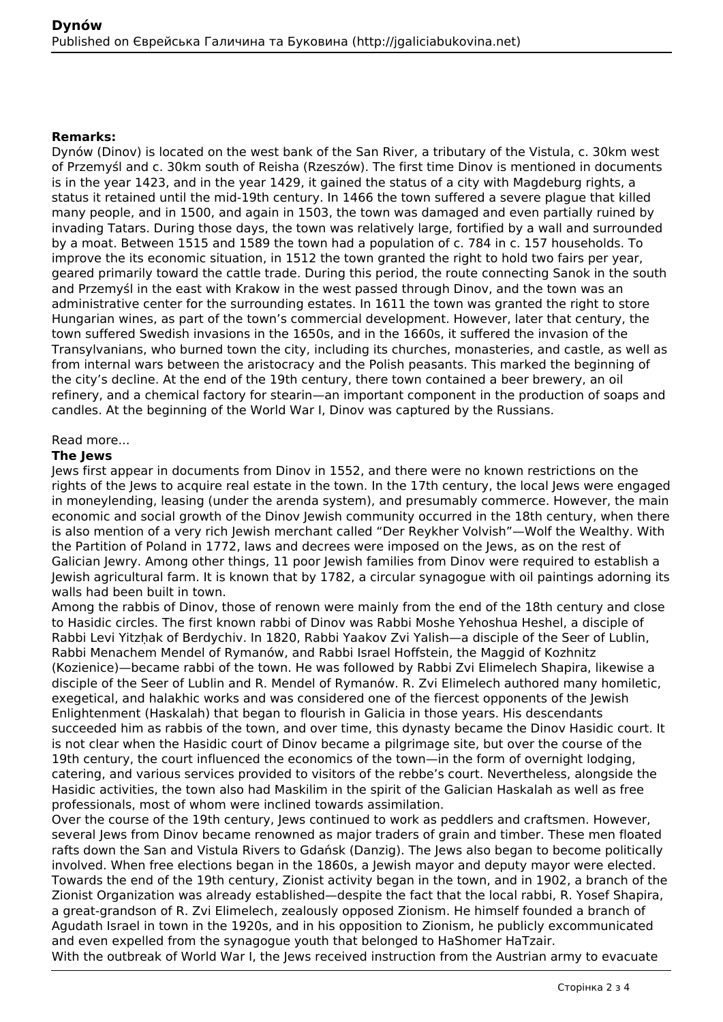#### **Remarks:**

Dynów (Dinov) is located on the west bank of the San River, a tributary of the Vistula, c. 30km west of Przemyśl and c. 30km south of Reisha (Rzeszów). The first time Dinov is mentioned in documents is in the year 1423, and in the year 1429, it gained the status of a city with Magdeburg rights, a status it retained until the mid-19th century. In 1466 the town suffered a severe plague that killed many people, and in 1500, and again in 1503, the town was damaged and even partially ruined by invading Tatars. During those days, the town was relatively large, fortified by a wall and surrounded by a moat. Between 1515 and 1589 the town had a population of c. 784 in c. 157 households. To improve the its economic situation, in 1512 the town granted the right to hold two fairs per year, geared primarily toward the cattle trade. During this period, the route connecting Sanok in the south and Przemyśl in the east with Krakow in the west passed through Dinov, and the town was an administrative center for the surrounding estates. In 1611 the town was granted the right to store Hungarian wines, as part of the town's commercial development. However, later that century, the town suffered Swedish invasions in the 1650s, and in the 1660s, it suffered the invasion of the Transylvanians, who burned town the city, including its churches, monasteries, and castle, as well as from internal wars between the aristocracy and the Polish peasants. This marked the beginning of the city's decline. At the end of the 19th century, there town contained a beer brewery, an oil refinery, and a chemical factory for stearin—an important component in the production of soaps and candles. At the beginning of the World War I, Dinov was captured by the Russians.

#### Read more...

#### **The Jews**

Jews first appear in documents from Dinov in 1552, and there were no known restrictions on the rights of the Jews to acquire real estate in the town. In the 17th century, the local Jews were engaged in moneylending, leasing (under the arenda system), and presumably commerce. However, the main economic and social growth of the Dinov Jewish community occurred in the 18th century, when there is also mention of a very rich Jewish merchant called "Der Reykher Volvish"—Wolf the Wealthy. With the Partition of Poland in 1772, laws and decrees were imposed on the Jews, as on the rest of Galician Jewry. Among other things, 11 poor Jewish families from Dinov were required to establish a Jewish agricultural farm. It is known that by 1782, a circular synagogue with oil paintings adorning its walls had been built in town.

Among the rabbis of Dinov, those of renown were mainly from the end of the 18th century and close to Hasidic circles. The first known rabbi of Dinov was Rabbi Moshe Yehoshua Heshel, a disciple of Rabbi Levi Yitzhak of Berdychiv. In 1820, Rabbi Yaakov Zvi Yalish—a disciple of the Seer of Lublin, Rabbi Menachem Mendel of Rymanów, and Rabbi Israel Hoffstein, the Maggid of Kozhnitz (Kozienice)—became rabbi of the town. He was followed by Rabbi Zvi Elimelech Shapira, likewise a disciple of the Seer of Lublin and R. Mendel of Rymanów. R. Zvi Elimelech authored many homiletic, exegetical, and halakhic works and was considered one of the fiercest opponents of the Jewish Enlightenment (Haskalah) that began to flourish in Galicia in those years. His descendants succeeded him as rabbis of the town, and over time, this dynasty became the Dinov Hasidic court. It is not clear when the Hasidic court of Dinov became a pilgrimage site, but over the course of the 19th century, the court influenced the economics of the town—in the form of overnight lodging, catering, and various services provided to visitors of the rebbe's court. Nevertheless, alongside the Hasidic activities, the town also had Maskilim in the spirit of the Galician Haskalah as well as free professionals, most of whom were inclined towards assimilation.

Over the course of the 19th century, Jews continued to work as peddlers and craftsmen. However, several Jews from Dinov became renowned as major traders of grain and timber. These men floated rafts down the San and Vistula Rivers to Gdańsk (Danzig). The Jews also began to become politically involved. When free elections began in the 1860s, a Jewish mayor and deputy mayor were elected. Towards the end of the 19th century, Zionist activity began in the town, and in 1902, a branch of the Zionist Organization was already established—despite the fact that the local rabbi, R. Yosef Shapira, a great-grandson of R. Zvi Elimelech, zealously opposed Zionism. He himself founded a branch of Agudath Israel in town in the 1920s, and in his opposition to Zionism, he publicly excommunicated and even expelled from the synagogue youth that belonged to HaShomer HaTzair.

With the outbreak of World War I, the Jews received instruction from the Austrian army to evacuate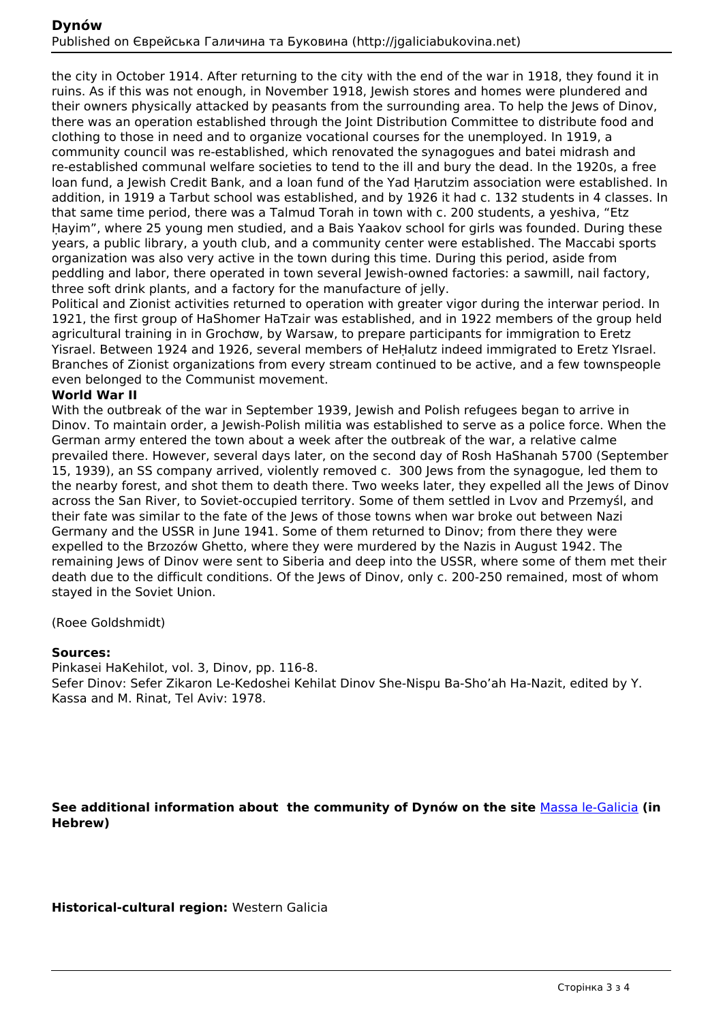the city in October 1914. After returning to the city with the end of the war in 1918, they found it in ruins. As if this was not enough, in November 1918, Jewish stores and homes were plundered and their owners physically attacked by peasants from the surrounding area. To help the Jews of Dinov, there was an operation established through the Joint Distribution Committee to distribute food and clothing to those in need and to organize vocational courses for the unemployed. In 1919, a community council was re-established, which renovated the synagogues and batei midrash and re-established communal welfare societies to tend to the ill and bury the dead. In the 1920s, a free loan fund, a Jewish Credit Bank, and a loan fund of the Yad Ḥarutzim association were established. In addition, in 1919 a Tarbut school was established, and by 1926 it had c. 132 students in 4 classes. In that same time period, there was a Talmud Torah in town with c. 200 students, a yeshiva, "Etz Ḥayim", where 25 young men studied, and a Bais Yaakov school for girls was founded. During these years, a public library, a youth club, and a community center were established. The Maccabi sports organization was also very active in the town during this time. During this period, aside from peddling and labor, there operated in town several Jewish-owned factories: a sawmill, nail factory, three soft drink plants, and a factory for the manufacture of jelly.

Political and Zionist activities returned to operation with greater vigor during the interwar period. In 1921, the first group of HaShomer HaTzair was established, and in 1922 members of the group held agricultural training in in Grochơw, by Warsaw, to prepare participants for immigration to Eretz Yisrael. Between 1924 and 1926, several members of HeḤalutz indeed immigrated to Eretz YIsrael. Branches of Zionist organizations from every stream continued to be active, and a few townspeople even belonged to the Communist movement.

#### **World War II**

With the outbreak of the war in September 1939, Jewish and Polish refugees began to arrive in Dinov. To maintain order, a Jewish-Polish militia was established to serve as a police force. When the German army entered the town about a week after the outbreak of the war, a relative calme prevailed there. However, several days later, on the second day of Rosh HaShanah 5700 (September 15, 1939), an SS company arrived, violently removed c. 300 Jews from the synagogue, led them to the nearby forest, and shot them to death there. Two weeks later, they expelled all the lews of Dinov across the San River, to Soviet-occupied territory. Some of them settled in Lvov and Przemyśl, and their fate was similar to the fate of the Jews of those towns when war broke out between Nazi Germany and the USSR in June 1941. Some of them returned to Dinov; from there they were expelled to the Brzozów Ghetto, where they were murdered by the Nazis in August 1942. The remaining Jews of Dinov were sent to Siberia and deep into the USSR, where some of them met their death due to the difficult conditions. Of the Jews of Dinov, only c. 200-250 remained, most of whom stayed in the Soviet Union.

(Roee Goldshmidt)

#### **Sources:**

Pinkasei HaKehilot, vol. 3, Dinov, pp. 116-8. Sefer Dinov: Sefer Zikaron Le-Kedoshei Kehilat Dinov She-Nispu Ba-Sho'ah Ha-Nazit, edited by Y. Kassa and M. Rinat, Tel Aviv: 1978.

**See additional information about the community of Dynów on the site** [Massa le-Galicia](https://yadzehava.wixsite.com/galicia/-------ewcfu) **(in Hebrew)**

**Historical-cultural region:** Western Galicia